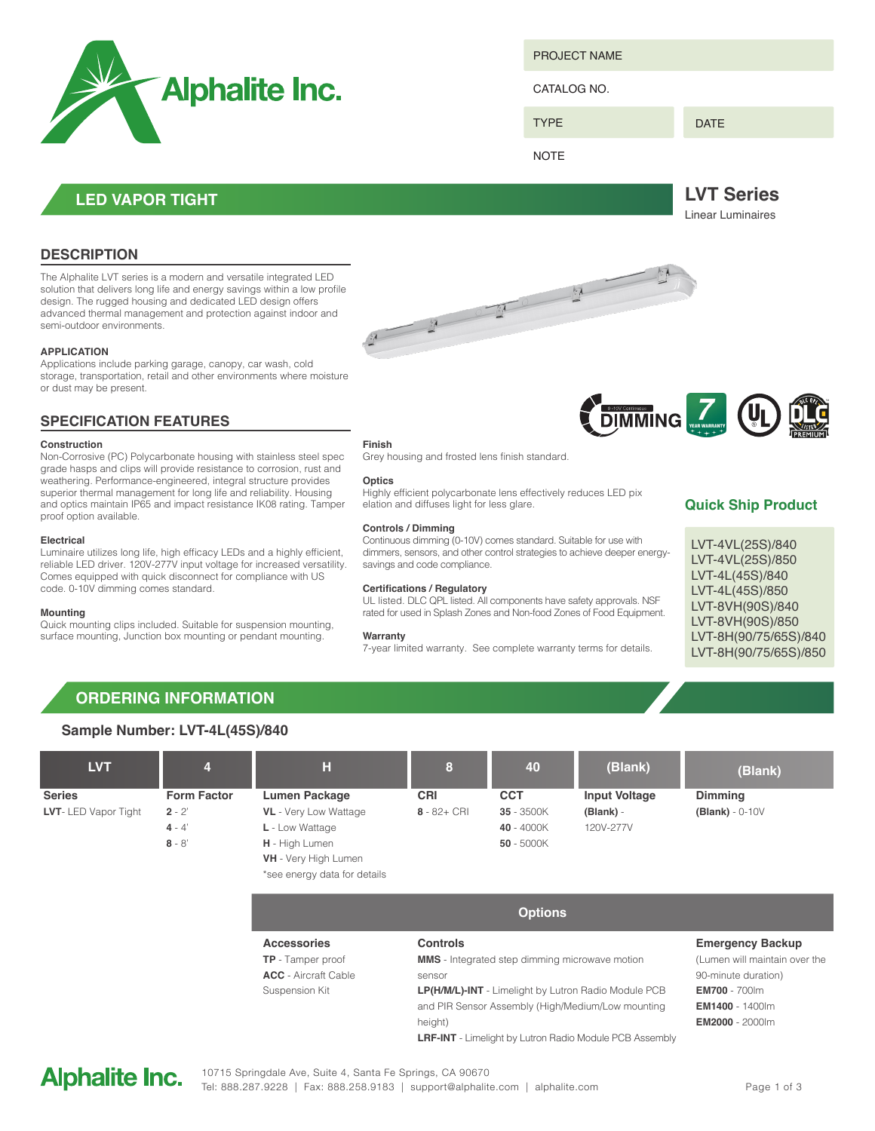

PROJECT NAME

CATALOG NO.

TYPE

DATE

**LVT Series** Linear Luminaires

**NOTE** 

**LED VAPOR TIGHT**

## **DESCRIPTION**

The Alphalite LVT series is a modern and versatile integrated LED solution that delivers long life and energy savings within a low profile design. The rugged housing and dedicated LED design offers advanced thermal management and protection against indoor and semi-outdoor environments.

### **APPLICATION**

Applications include parking garage, canopy, car wash, cold storage, transportation, retail and other environments where moisture or dust may be present.

## **SPECIFICATION FEATURES**

### **Construction**

Non-Corrosive (PC) Polycarbonate housing with stainless steel spec grade hasps and clips will provide resistance to corrosion, rust and weathering. Performance-engineered, integral structure provides superior thermal management for long life and reliability. Housing and optics maintain IP65 and impact resistance IK08 rating. Tamper proof option available.

### **Electrical**

Luminaire utilizes long life, high efficacy LEDs and a highly efficient, reliable LED driver. 120V-277V input voltage for increased versatility. Comes equipped with quick disconnect for compliance with US code. 0-10V dimming comes standard.

#### **Mounting**

Quick mounting clips included. Suitable for suspension mounting, surface mounting, Junction box mounting or pendant mounting.

**Finish** Grey housing and frosted lens finish standard.

#### **Optics**

Highly efficient polycarbonate lens effectively reduces LED pix elation and diffuses light for less glare.

#### **Controls / Dimming**

Continuous dimming (0-10V) comes standard. Suitable for use with dimmers, sensors, and other control strategies to achieve deeper energysavings and code compliance.

#### **Certifications / Regulatory**

UL listed. DLC QPL listed. All components have safety approvals. NSF rated for used in Splash Zones and Non-food Zones of Food Equipment.

#### **Warranty**

7-year limited warranty. See complete warranty terms for details.



## **Quick Ship Product**

LVT-4VL(25S)/840 LVT-4VL(25S)/850 LVT-4L(45S)/840 LVT-4L(45S)/850 LVT-8VH(90S)/840 LVT-8VH(90S)/850 LVT-8H(90/75/65S)/840 LVT-8H(90/75/65S)/850

## **ORDERING INFORMATION**

#### **Sample Number: LVT-4L(45S)/840 LVT Series LVT**- LED Vapor Tight **Form Factor**  $2 - 2'$ **4** - 4' **8** - 8' **CRI 8** - 82+ CRI **Dimming (Blank)** - 0-10V **CCT 35** - 3500K **40** - 4000K **50** - 5000K **Input Voltage (Blank)** - 120V-277V **Lumen Package VL** - Very Low Wattage **L** - Low Wattage **H** - High Lumen **VH** - Very High Lumen \*see energy data for details **H 8 40 (Blank) (Blank) 4**

**Emergency Backup** (Lumen will maintain over the 90-minute duration) **EM700** - 700lm **EM1400** - 1400lm **EM2000** - 2000lm **Controls MMS** - Integrated step dimming microwave motion sensor **LP(H/M/L)-INT** - Limelight by Lutron Radio Module PCB and PIR Sensor Assembly (High/Medium/Low mounting height) **LRF-INT** - Limelight by Lutron Radio Module PCB Assembly **Accessories TP** - Tamper proof **ACC** - Aircraft Cable Suspension Kit **Options**



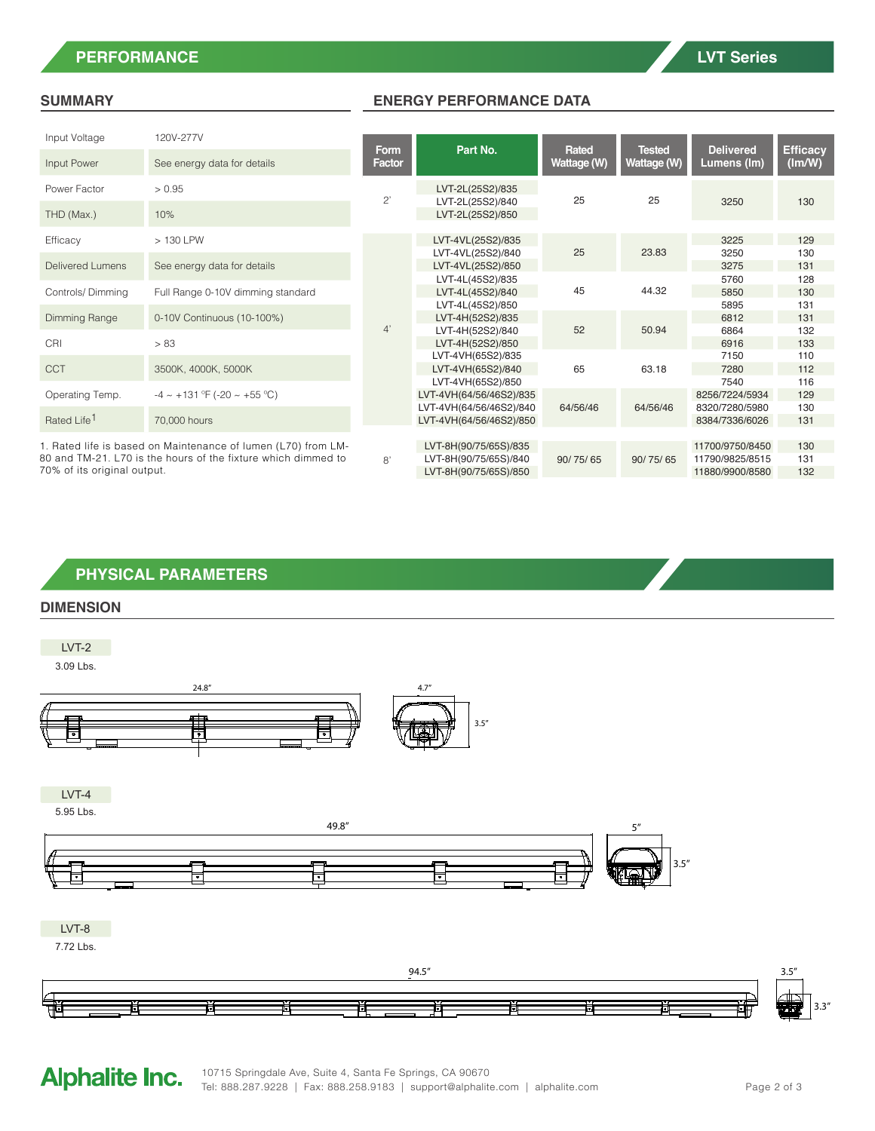## **PERFORMANCE LVT Series**

### **SUMMARY ENERGY PERFORMANCE DATA**

| Input Voltage                                                                                                                  | 120V-277V                             |                |                                                    |                      |                              |                                    |                           |
|--------------------------------------------------------------------------------------------------------------------------------|---------------------------------------|----------------|----------------------------------------------------|----------------------|------------------------------|------------------------------------|---------------------------|
| Input Power                                                                                                                    | See energy data for details           | Form<br>Factor | Part No.                                           | Rated<br>Wattage (W) | <b>Tested</b><br>Wattage (W) | <b>Delivered</b><br>Lumens (Im)    | <b>Efficacy</b><br>(lm/W) |
| Power Factor                                                                                                                   | > 0.95                                | $2^{\prime}$   | LVT-2L(25S2)/835                                   | 25                   | 25                           |                                    |                           |
| THD (Max.)                                                                                                                     | 10%                                   |                | LVT-2L(25S2)/840<br>LVT-2L(25S2)/850               |                      |                              | 3250                               | 130                       |
| Efficacy                                                                                                                       | > 130 LPW                             |                | LVT-4VL(25S2)/835                                  |                      |                              | 3225                               | 129                       |
| <b>Delivered Lumens</b>                                                                                                        | See energy data for details           |                | LVT-4VL(25S2)/840<br>LVT-4VL(25S2)/850             | 25                   | 23.83                        | 3250<br>3275                       | 130<br>131                |
| Controls/Dimming                                                                                                               | Full Range 0-10V dimming standard     |                | LVT-4L(45S2)/835<br>LVT-4L(45S2)/840               | 45                   | 44.32                        | 5760<br>5850                       | 128<br>130                |
| Dimming Range                                                                                                                  | 0-10V Continuous (10-100%)            |                | LVT-4L(45S2)/850<br>LVT-4H(52S2)/835               |                      |                              | 5895<br>6812                       | 131<br>131                |
| CRI                                                                                                                            | > 83                                  | 4'             | LVT-4H(52S2)/840<br>LVT-4H(52S2)/850               | 52                   | 50.94                        | 6864<br>6916                       | 132<br>133                |
| <b>CCT</b>                                                                                                                     | 3500K, 4000K, 5000K                   |                | LVT-4VH(65S2)/835<br>LVT-4VH(65S2)/840             | 65                   | 63.18                        | 7150<br>7280                       | 110<br>112                |
| Operating Temp.                                                                                                                | $-4 \sim +131$ °F (-20 $\sim +55$ °C) |                | LVT-4VH(65S2)/850<br>LVT-4VH(64/56/46S2)/835       |                      |                              | 7540<br>8256/7224/5934             | 116<br>129                |
| Rated Life <sup>1</sup>                                                                                                        | 70,000 hours                          |                | LVT-4VH(64/56/46S2)/840<br>LVT-4VH(64/56/46S2)/850 | 64/56/46             | 64/56/46                     | 8320/7280/5980<br>8384/7336/6026   | 130<br>131                |
|                                                                                                                                |                                       |                |                                                    |                      |                              |                                    |                           |
| 1. Rated life is based on Maintenance of lumen (L70) from LM-<br>80 and TM-21. L70 is the hours of the fixture which dimmed to |                                       | 8'             | LVT-8H(90/75/65S)/835<br>LVT-8H(90/75/65S)/840     | 90/75/65             | 90/75/65                     | 11700/9750/8450<br>11790/9825/8515 | 130<br>131                |

70% of its original output.

| PHYSICAL PARAMETERS . |
|-----------------------|
|                       |

## **DIMENSION**

LVT-2 3.09 Lbs. 24.8" 4.7" 庫 3.5" ╔ LVT-4 5.95 Lbs. 49.8" 5" ╞  $\overline{\phantom{a}}$ 

LVT-8

7.72 Lbs.



# **Alphalite Inc.**

3.5"

LVT-8H(90/75/65S)/850 11880/9900/8580 132